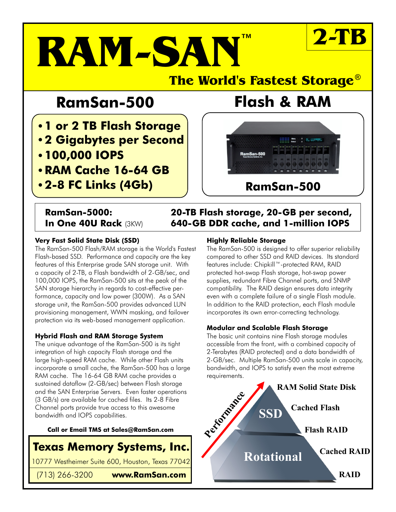# **RAM-SAN ™ 2-TB**

### **The World's Fastest Storage** ®

## **RamSan-500 Flash & RAM**

- **1 or 2 TB Flash Storage**
- **2 Gigabytes per Second**
- **100,000 IOPS**
- **RAM Cache 16-64 GB**
- **2-8 FC Links (4Gb)**



**RamSan-500**

### **RamSan-5000: 20-TB Flash storage, 20-GB per second, In One 40U Rack** (3KW) **640-GB DDR cache, and 1-million IOPS**

#### **Very Fast Solid State Disk (SSD)**

The RamSan-500 Flash/RAM storage is the World's Fastest Flash-based SSD. Performance and capacity are the key features of this Enterprise grade SAN storage unit. With a capacity of 2-TB, a Flash bandwidth of 2-GB/sec, and 100,000 IOPS, the RamSan-500 sits at the peak of the SAN storage hierarchy in regards to cost-effective performance, capacity and low power (300W). As a SAN storage unit, the RamSan-500 provides advanced LUN provisioning management, WWN masking, and failover protection via its web-based management application.

#### **Hybrid Flash and RAM Storage System**

The unique advantage of the RamSan-500 is its tight integration of high capacity Flash storage and the large high-speed RAM cache. While other Flash units incorporate a small cache, the RamSan-500 has a large RAM cache. The 16-64 GB RAM cache provides a sustained dataflow (2-GB/sec) between Flash storage and the SAN Enterprise Servers. Even faster operations (3 GB/s) are available for cached files. Its 2-8 Fibre Channel ports provide true access to this awesome bandwidth and IOPS capabilities.

#### **Call or Email TMS at Sales@RamSan.com**

### **Texas Memory Systems, Inc.**

10777 Westheimer Suite 600, Houston, Texas 77042

(713) 266-3200 **www.RamSan.com**

#### **Highly Reliable Storage**

The RamSan-500 is designed to offer superior reliability compared to other SSD and RAID devices. Its standard features include: Chipkill™-protected RAM, RAID protected hot-swap Flash storage, hot-swap power supplies, redundant Fibre Channel ports, and SNMP compatibility. The RAID design ensures data integrity even with a complete failure of a single Flash module. In addition to the RAID protection, each Flash module incorporates its own error-correcting technology.

#### **Modular and Scalable Flash Storage**

The basic unit contains nine Flash storage modules accessible from the front, with a combined capacity of 2-Terabytes (RAID protected) and a data bandwidth of 2-GB/sec. Multiple RamSan-500 units scale in capacity, bandwidth, and IOPS to satisfy even the most extreme requirements.